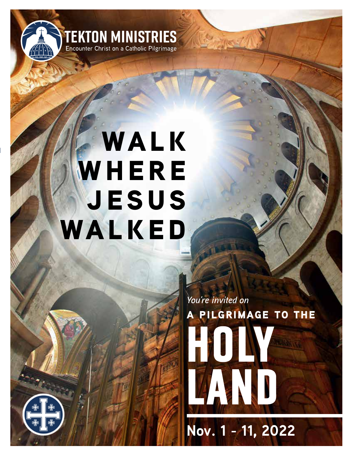

# **WALK WHERE jesus walked**

**HOLY LIE LAND a pilgrimage to the** *You're invited on*

**Nov. 1 - 11, 2022**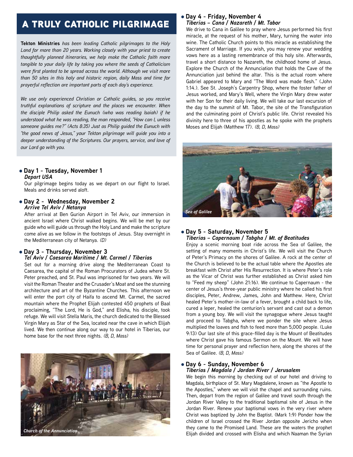## a truly catholic pilgrimage

**Tekton Ministries** *has been leading Catholic pilgrimages to the Holy Land for more than 20 years. Working closely with your priest to create thoughtfully planned itineraries, we help make the Catholic faith more tangible to your daily life by taking you where the seeds of Catholicism were first planted to be spread across the world. Although we visit more than 50 sites in this holy and historic region, daily Mass and time for prayerful reflection are important parts of each day's experience.*

*We use only experienced Christian or Catholic guides, so you receive truthful explanations of scripture and the places we encounter. When the disciple Philip asked the Eunuch (who was reading Isaiah) if he understood what he was reading, the man responded, "How can I, unless someone guides me?" (Acts 8:35) Just as Philip guided the Eunuch with "the good news of Jesus," your Tekton pilgrimage will guide you into a deeper understanding of the Scriptures. Our prayers, service, and love of our Lord go with you.*

#### l **Day 1 - Tuesday, November 1** *Depart USA*

Our pilgrimage begins today as we depart on our flight to Israel. Meals and drinks served aloft.

#### l **Day 2 - Wednesday, November 2** *Arrive Tel Aviv / Netanya*

After arrival at Ben Gurion Airport in Tel Aviv, our immersion in ancient Israel where Christ walked begins. We will be met by our guide who will guide us through the Holy Land and make the scripture come alive as we follow in the footsteps of Jesus. Stay overnight in the Mediterranean city of Netanya. *(D)*

#### l **Day 3 - Thursday, November 3** *Tel Aviv / Caesarea Maritime / Mt. Carmel / Tiberias*

Set out for a morning drive along the Mediterranean Coast to Caesarea, the capital of the Roman Procurators of Judea where St. Peter preached, and St. Paul was imprisoned for two years. We will visit the Roman Theater and the Crusader's Moat and see the stunning architecture and art of the Byzantine Churches. This afternoon we will enter the port city of Haifa to ascend Mt. Carmel, the sacred mountain where the Prophet Elijah contested 450 prophets of Baal proclaiming, "The Lord, He is God," and Elisha, his disciple, took refuge. We will visit Stella Maris, the church dedicated to the Blessed Virgin Mary as Star of the Sea, located near the cave in which Elijah lived. We then continue along our way to our hotel in Tiberias, our home base for the next three nights. *(B, D, Mass)*



#### l **Day 4 - Friday, November 4** *Tiberias – Cana / Nazareth / Mt. Tabor*

We drive to Cana in Galilee to pray where Jesus performed his first miracle, at the request of his mother, Mary, turning the water into wine. The Catholic Church points to this miracle as establishing the Sacrament of Marriage. If you wish, you may renew your wedding vows here as a lasting remembrance of this holy site. Afterwards, travel a short distance to Nazareth, the childhood home of Jesus. Explore the Church of the Annunciation that holds the Cave of the Annunciation just behind the altar. This is the actual room where Gabriel appeared to Mary and "The Word was made flesh." (John 1:14.). See St. Joseph's Carpentry Shop, where the foster father of Jesus worked, and Mary's Well, where the Virgin Mary drew water with her Son for their daily living. We will take our last excursion of the day to the summit of Mt. Tabor, the site of the Transfiguration and the culminating point of Christ's public life. Christ revealed his divinity here to three of his apostles as he spoke with the prophets Moses and Elijah (Matthew 17). *(B, D, Mass)*



#### l **Day 5 - Saturday, November 5** *Tiberias – Capernaum / Tabgha / Mt. of Beatitudes*

Enjoy a scenic morning boat ride across the Sea of Galilee, the setting of many moments in Christ's life. We will visit the Church of Peter's Primacy on the shores of Galilee. A rock at the center of the Church is believed to be the actual table where the Apostles ate breakfast with Christ after His Resurrection. It is where Peter's role as the Vicar of Christ was further established as Christ asked him to "Feed my sheep" (John 21:16). We continue to Capernaum - the center of Jesus's three-year public ministry where he called his first disciples, Peter, Andrew, James, John and Matthew. Here, Christ healed Peter's mother-in-law of a fever, brought a child back to life, cured a leper, healed the centurion's servant and cast out a demon from a young boy. We will visit the synagogue where Jesus taught and proceed to Tabgha, where we ponder the site where Jesus multiplied the loaves and fish to feed more than 5,000 people. (Luke 9:13) Our last site of this grace-filled day is the Mount of Beatitudes where Christ gave his famous Sermon on the Mount. We will have time for personal prayer and reflection here, along the shores of the Sea of Galilee. *(B, D, Mass)*

#### l **Day 6 - Sunday, November 6** *Tiberias / Magdala / Jordan River / Jerusalem*

We begin this morning by checking out of our hotel and driving to Magdala, birthplace of St. Mary Magdalene, known as "the Apostle to the Apostles," where we will visit the chapel and surrounding ruins. Then, depart from the region of Galilee and travel south through the Jordan River Valley to the traditional baptismal site of Jesus in the Jordan River. Renew your baptismal vows in the very river where Christ was baptized by John the Baptist. (Mark 1:9) Ponder how the children of Israel crossed the River Jordan opposite Jericho when they came to the Promised Land. These are the waters the prophet Elijah divided and crossed with Elisha and which Naaman the Syrian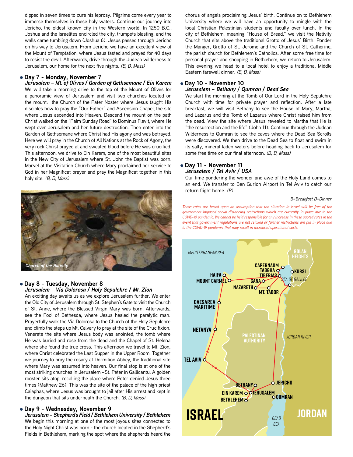dipped in seven times to cure his leprosy. Pilgrims come every year to immerse themselves in these holy waters. Continue our journey into Jericho, the oldest known city in the Western world. In 1250 B.C., Joshua and the Israelites encircled the city, trumpets blasting, and the walls came tumbling down (Joshua 6). Jesus passed through Jericho on his way to Jerusalem. From Jericho we have an excellent view of the Mount of Temptation, where Jesus fasted and prayed for 40 days to resist the devil. Afterwards, drive through the Judean wilderness to Jerusalem, our home for the next five nights. *(B, D, Mass)*

#### l **Day 7 - Monday, November 7**

*Jerusalem – Mt. of Olives / Garden of Gethsemane / Ein Karem* We will take a morning drive to the top of the Mount of Olives for a panoramic view of Jerusalem and visit two churches located on the mount: the Church of the Pater Noster where Jesus taught His disciples how to pray the "Our Father" and Ascension Chapel, the site where Jesus ascended into Heaven. Descend the mount on the path Christ walked on the "Palm Sunday Road" to Dominus Flevit, where He wept over Jerusalem and her future destruction. Then enter into the Garden of Gethsemane where Christ had His agony and was betrayed. Here we will pray in the Church of All Nations at the Rock of Agony, the very rock Christ prayed at and sweated blood before He was crucified. This afternoon, we drive to Ein Karem, one of the most beautiful sites in the New City of Jerusalem where St. John the Baptist was born. Marvel at the Visitation Church where Mary proclaimed her service to God in her Magnificat prayer and pray the Magnificat together in this holy site. *(B, D, Mass)*



#### l **Day 8 - Tuesday, November 8** *Jerusalem – Via Dolorosa / Holy Sepulchre / Mt. Zion*

An exciting day awaits us as we explore Jerusalem further. We enter the Old City of Jerusalem through St. Stephen's Gate to visit the Church of St. Anne, where the Blessed Virgin Mary was born. Afterwards, see the Pool of Bethesda, where Jesus healed the paralytic man. Prayerfully walk the Via Dolorosa to the Church of the Holy Sepulchre and climb the steps up Mt. Calvary to pray at the site of the Crucifixion. Venerate the site where Jesus body was anointed, the tomb where He was buried and rose from the dead and the Chapel of St. Helena where she found the true cross. This afternoon we travel to Mt. Zion, where Christ celebrated the Last Supper in the Upper Room. Together we journey to pray the rosary at Dormition Abbey, the traditional site where Mary was assumed into heaven. Our final stop is at one of the most striking churches in Jerusalem –St. Peter in Gallicantu. A golden rooster sits atop, recalling the place where Peter denied Jesus three times (Matthew 26). This was the site of the palace of the high priest Caiaphas, where Jesus was brought to jail after His arrest and kept in the dungeon that sits underneath the Church. *(B, D, Mass)*

#### l **Day 9 - Wednesday, November 9** *Jerusalem – Shepherd's Field / Bethlehem University / Bethlehem*

We begin this morning at one of the most joyous sites connected to the Holy Night Christ was born - the church located in the Shepherd's Fields in Bethlehem, marking the spot where the shepherds heard the chorus of angels proclaiming Jesus' birth. Continue on to Bethlehem University where we will have an opportunity to mingle with the local Christian Palestinian students and faculty over lunch. In the city of Bethlehem, meaning "House of Bread," we visit the Nativity Church that sits above the traditional Grotto of Jesus' Birth. Ponder the Manger, Grotto of St. Jerome and the Church of St. Catherine, the parish church for Bethlehem's Catholics. After some free time for personal prayer and shopping in Bethlehem, we return to Jerusalem. This evening we head to a local hotel to enjoy a traditional Middle Eastern farewell dinner. *(B, D, Mass)*

#### l **Day 10 - November 10** *Jerusalem – Bethany / Qumran / Dead Sea*

We start the morning at the Tomb of Our Lord in the Holy Sepulchre Church with time for private prayer and reflection. After a late breakfast, we will visit Bethany to see the House of Mary, Martha, and Lazarus and the Tomb of Lazarus where Christ raised him from the dead. View the site where Jesus revealed to Martha that He is "the resurrection and the life" (John 11). Continue through the Judean Wilderness to Qumran to see the caves where the Dead Sea Scrolls were discovered. We then drive to the Dead Sea to float and swim in its salty, mineral laden waters before heading back to Jerusalem for some free time on our final afternoon. *(B, D, Mass)*

#### l **Day 11 - November 11** *Jerusalem / Tel Aviv / USA*

Our time pondering the wonder and awe of the Holy Land comes to an end. We transfer to Ben Gurion Airport in Tel Aviv to catch our return flight home. *(B)*

#### *B=Breakfast D=Dinner*

**cycle** *care a event that government regulations are not relaxed or further restrictions are put in place due*<br> **to the COVID-19 pandemic that may result in increased operational costs.** These rates are based upon an assumption that the situation in Israel will be free of the<br>government-imposed social distancing restrictions which are currently in place due to the to the COVID-19 pandemic that may result in increased operational costs. *These rates are based upon an assumption that the situation in Israel will be free of the COVID-19 pandemic. We cannot be held responsible for any increase in these quoted rates in the*